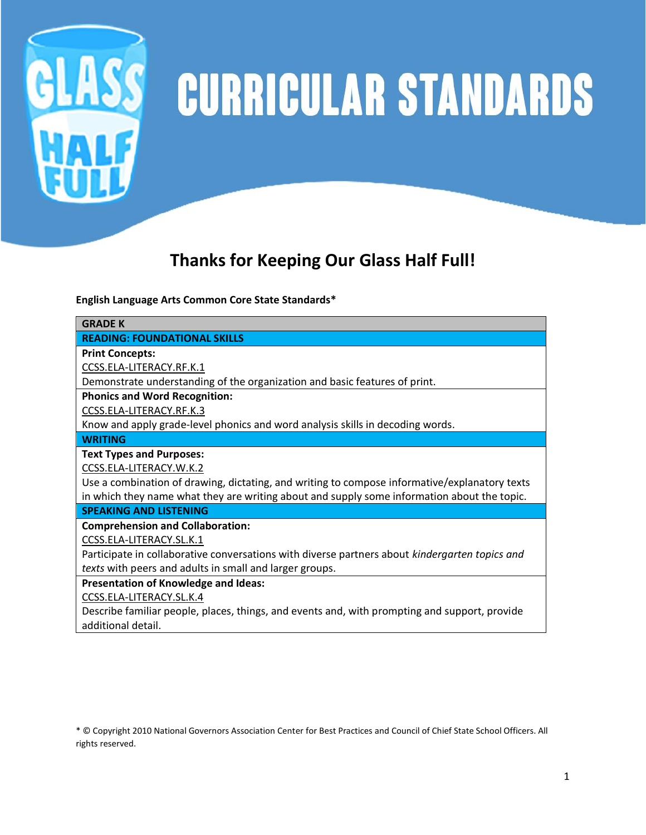

# GLASS CURRICULAR STANDARDS

# **Thanks for Keeping Our Glass Half Full!**

**English Language Arts Common Core State Standards\***

| <b>GRADE K</b>                                                                                 |
|------------------------------------------------------------------------------------------------|
| <b>READING: FOUNDATIONAL SKILLS</b>                                                            |
| <b>Print Concepts:</b>                                                                         |
| CCSS.ELA-LITERACY.RF.K.1                                                                       |
| Demonstrate understanding of the organization and basic features of print.                     |
| <b>Phonics and Word Recognition:</b>                                                           |
| CCSS.ELA-LITERACY.RF.K.3                                                                       |
| Know and apply grade-level phonics and word analysis skills in decoding words.                 |
| <b>WRITING</b>                                                                                 |
| <b>Text Types and Purposes:</b>                                                                |
| CCSS.ELA-LITERACY.W.K.2                                                                        |
| Use a combination of drawing, dictating, and writing to compose informative/explanatory texts  |
| in which they name what they are writing about and supply some information about the topic.    |
| <b>SPEAKING AND LISTENING</b>                                                                  |
| <b>Comprehension and Collaboration:</b>                                                        |
| CCSS.ELA-LITERACY.SL.K.1                                                                       |
| Participate in collaborative conversations with diverse partners about kindergarten topics and |
| texts with peers and adults in small and larger groups.                                        |
| <b>Presentation of Knowledge and Ideas:</b>                                                    |
| CCSS.ELA-LITERACY.SL.K.4                                                                       |
| Describe familiar people, places, things, and events and, with prompting and support, provide  |

additional detail.

\* © Copyright 2010 National Governors Association Center for Best Practices and Council of Chief State School Officers. All rights reserved.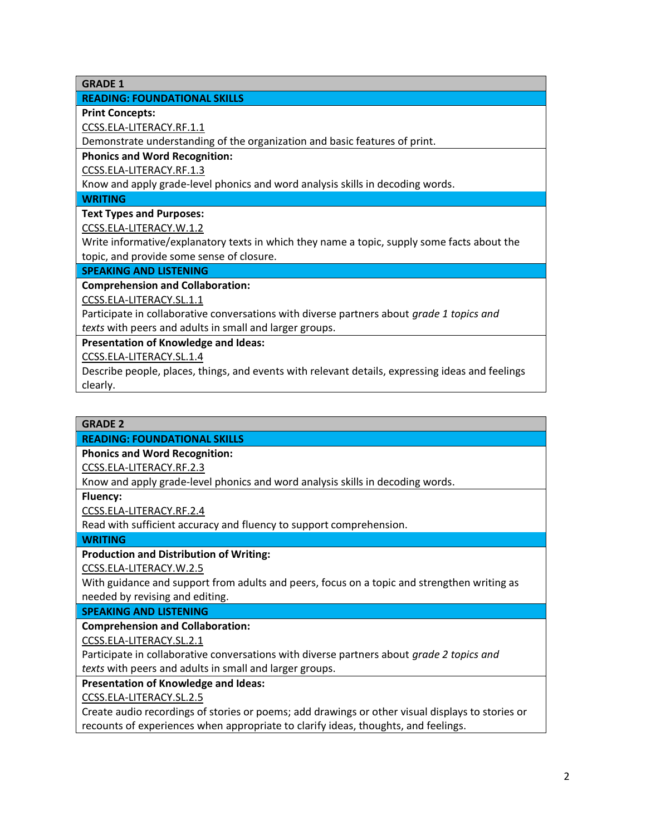**GRADE 1**

# **READING: FOUNDATIONAL SKILLS**

**Print Concepts:**

[CCSS.ELA-LITERACY.RF.1.1](http://www.corestandards.org/ELA-Literacy/RF/1/1/)

Demonstrate understanding of the organization and basic features of print.

**Phonics and Word Recognition:**

[CCSS.ELA-LITERACY.RF.1.3](http://www.corestandards.org/ELA-Literacy/RF/1/3/)

Know and apply grade-level phonics and word analysis skills in decoding words.

**WRITING**

# **Text Types and Purposes:**

[CCSS.ELA-LITERACY.W.1.2](http://www.corestandards.org/ELA-Literacy/W/1/2/)

Write informative/explanatory texts in which they name a topic, supply some facts about the topic, and provide some sense of closure.

# **SPEAKING AND LISTENING**

# **Comprehension and Collaboration:**

[CCSS.ELA-LITERACY.SL.1.1](http://www.corestandards.org/ELA-Literacy/SL/1/1/)

Participate in collaborative conversations with diverse partners about *grade 1 topics and texts* with peers and adults in small and larger groups.

**Presentation of Knowledge and Ideas:**

[CCSS.ELA-LITERACY.SL.1.4](http://www.corestandards.org/ELA-Literacy/SL/1/4/)

Describe people, places, things, and events with relevant details, expressing ideas and feelings clearly.

#### **GRADE 2**

# **READING: FOUNDATIONAL SKILLS**

**Phonics and Word Recognition:**

[CCSS.ELA-LITERACY.RF.2.3](http://www.corestandards.org/ELA-Literacy/RF/2/3/)

Know and apply grade-level phonics and word analysis skills in decoding words.

**Fluency:**

[CCSS.ELA-LITERACY.RF.2.4](http://www.corestandards.org/ELA-Literacy/RF/2/4/)

Read with sufficient accuracy and fluency to support comprehension.

**WRITING**

# **Production and Distribution of Writing:**

[CCSS.ELA-LITERACY.W.2.5](http://www.corestandards.org/ELA-Literacy/W/2/5/)

With guidance and support from adults and peers, focus on a topic and strengthen writing as needed by revising and editing.

# **SPEAKING AND LISTENING**

**Comprehension and Collaboration:**

[CCSS.ELA-LITERACY.SL.2.1](http://www.corestandards.org/ELA-Literacy/SL/2/1/)

Participate in collaborative conversations with diverse partners about *grade 2 topics and texts* with peers and adults in small and larger groups.

### **Presentation of Knowledge and Ideas:**

[CCSS.ELA-LITERACY.SL.2.5](http://www.corestandards.org/ELA-Literacy/SL/2/5/)

Create audio recordings of stories or poems; add drawings or other visual displays to stories or recounts of experiences when appropriate to clarify ideas, thoughts, and feelings.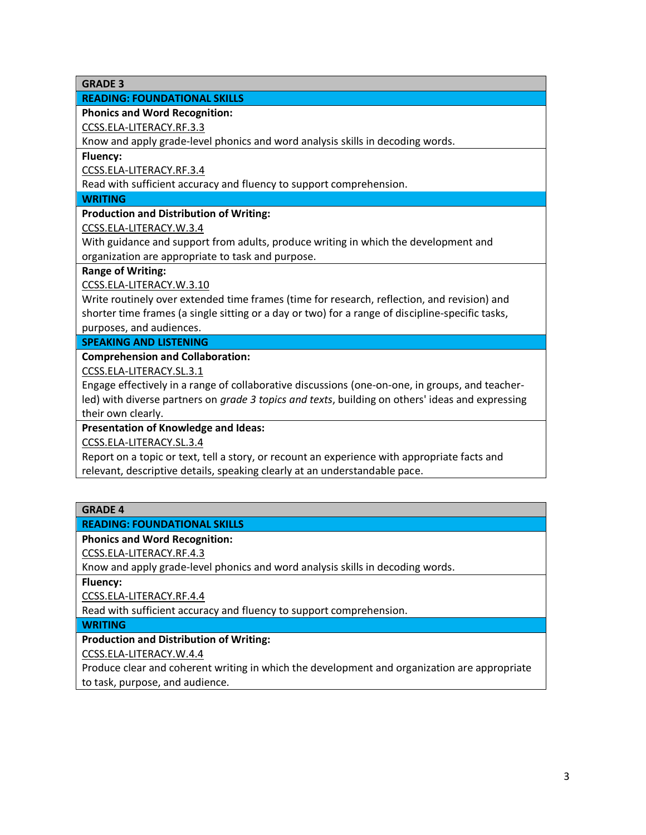**GRADE 3**

# **READING: FOUNDATIONAL SKILLS**

**Phonics and Word Recognition:**

[CCSS.ELA-LITERACY.RF.3.3](http://www.corestandards.org/ELA-Literacy/RF/3/3/)

Know and apply grade-level phonics and word analysis skills in decoding words.

**Fluency:**

[CCSS.ELA-LITERACY.RF.3.4](http://www.corestandards.org/ELA-Literacy/RF/3/4/)

Read with sufficient accuracy and fluency to support comprehension.

**WRITING**

**Production and Distribution of Writing:**

[CCSS.ELA-LITERACY.W.3.4](http://www.corestandards.org/ELA-Literacy/W/3/4/)

With guidance and support from adults, produce writing in which the development and organization are appropriate to task and purpose.

**Range of Writing:**

[CCSS.ELA-LITERACY.W.3.10](http://www.corestandards.org/ELA-Literacy/W/3/10/)

Write routinely over extended time frames (time for research, reflection, and revision) and shorter time frames (a single sitting or a day or two) for a range of discipline-specific tasks, purposes, and audiences.

**SPEAKING AND LISTENING**

**Comprehension and Collaboration:**

[CCSS.ELA-LITERACY.SL.3.1](http://www.corestandards.org/ELA-Literacy/SL/3/1/)

Engage effectively in a range of collaborative discussions (one-on-one, in groups, and teacherled) with diverse partners on *grade 3 topics and texts*, building on others' ideas and expressing their own clearly.

**Presentation of Knowledge and Ideas:**

[CCSS.ELA-LITERACY.SL.3.4](http://www.corestandards.org/ELA-Literacy/SL/3/4/)

Report on a topic or text, tell a story, or recount an experience with appropriate facts and relevant, descriptive details, speaking clearly at an understandable pace.

### **GRADE 4**

### **READING: FOUNDATIONAL SKILLS**

**Phonics and Word Recognition:**

[CCSS.ELA-LITERACY.RF.4.3](http://www.corestandards.org/ELA-Literacy/RF/4/3/)

Know and apply grade-level phonics and word analysis skills in decoding words.

**Fluency:**

[CCSS.ELA-LITERACY.RF.4.4](http://www.corestandards.org/ELA-Literacy/RF/4/4/)

Read with sufficient accuracy and fluency to support comprehension.

**WRITING**

### **Production and Distribution of Writing:**

[CCSS.ELA-LITERACY.W.4.4](http://www.corestandards.org/ELA-Literacy/W/4/4/)

Produce clear and coherent writing in which the development and organization are appropriate to task, purpose, and audience.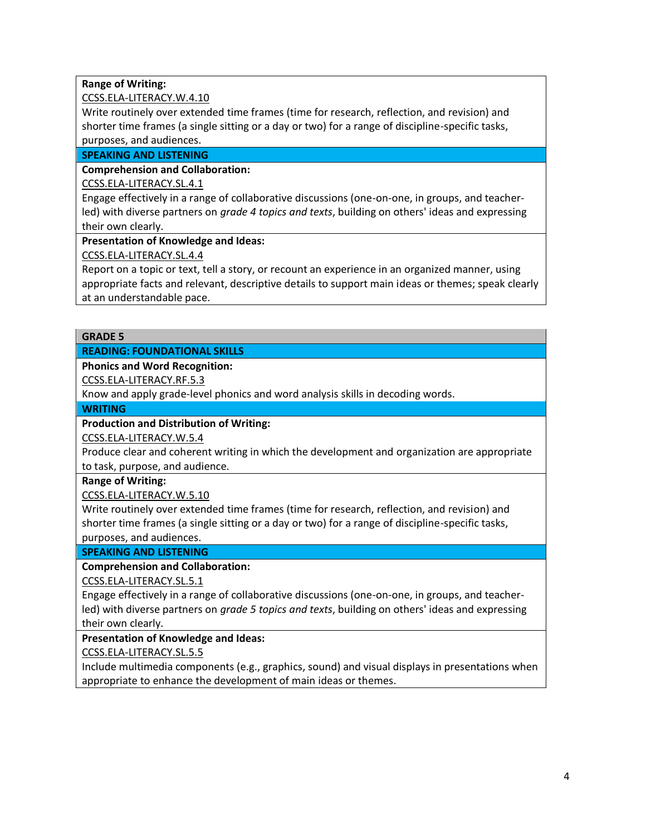# **Range of Writing:**

## [CCSS.ELA-LITERACY.W.4.10](http://www.corestandards.org/ELA-Literacy/W/4/10/)

Write routinely over extended time frames (time for research, reflection, and revision) and shorter time frames (a single sitting or a day or two) for a range of discipline-specific tasks, purposes, and audiences.

# **SPEAKING AND LISTENING**

# **Comprehension and Collaboration:**

# [CCSS.ELA-LITERACY.SL.4.1](http://www.corestandards.org/ELA-Literacy/SL/4/1/)

Engage effectively in a range of collaborative discussions (one-on-one, in groups, and teacherled) with diverse partners on *grade 4 topics and texts*, building on others' ideas and expressing their own clearly.

# **Presentation of Knowledge and Ideas:**

[CCSS.ELA-LITERACY.SL.4.4](http://www.corestandards.org/ELA-Literacy/SL/4/4/)

Report on a topic or text, tell a story, or recount an experience in an organized manner, using appropriate facts and relevant, descriptive details to support main ideas or themes; speak clearly at an understandable pace.

### **GRADE 5**

# **READING: FOUNDATIONAL SKILLS**

# **Phonics and Word Recognition:**

[CCSS.ELA-LITERACY.RF.5.3](http://www.corestandards.org/ELA-Literacy/RF/5/3/)

Know and apply grade-level phonics and word analysis skills in decoding words.

#### **WRITING**

# **Production and Distribution of Writing:**

[CCSS.ELA-LITERACY.W.5.4](http://www.corestandards.org/ELA-Literacy/W/5/4/)

Produce clear and coherent writing in which the development and organization are appropriate to task, purpose, and audience.

### **Range of Writing:**

[CCSS.ELA-LITERACY.W.5.10](http://www.corestandards.org/ELA-Literacy/W/5/10/)

Write routinely over extended time frames (time for research, reflection, and revision) and shorter time frames (a single sitting or a day or two) for a range of discipline-specific tasks, purposes, and audiences.

# **SPEAKING AND LISTENING**

### **Comprehension and Collaboration:**

[CCSS.ELA-LITERACY.SL.5.1](http://www.corestandards.org/ELA-Literacy/SL/5/1/)

Engage effectively in a range of collaborative discussions (one-on-one, in groups, and teacherled) with diverse partners on *grade 5 topics and texts*, building on others' ideas and expressing their own clearly.

### **Presentation of Knowledge and Ideas:**

# [CCSS.ELA-LITERACY.SL.5.5](http://www.corestandards.org/ELA-Literacy/SL/5/5/)

Include multimedia components (e.g., graphics, sound) and visual displays in presentations when appropriate to enhance the development of main ideas or themes.